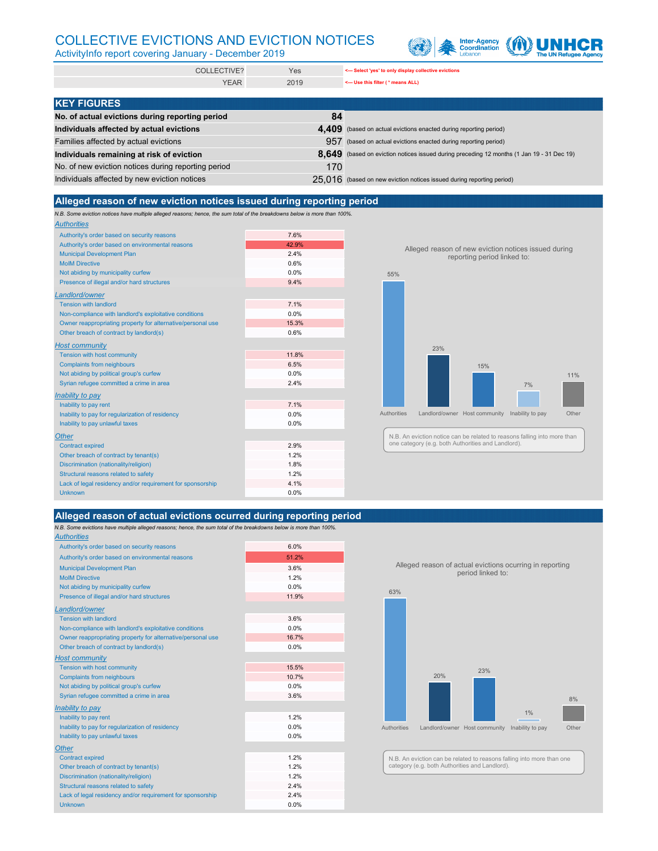| <b>COLLECTIVE?</b> | Yes  | Select 'yes' to only display collective evictions |
|--------------------|------|---------------------------------------------------|
| <b>YEAR</b>        | 2019 | singleright (* means ALL)                         |

*N.B. Some eviction notices have multiple alleged reasons; hence, the sum total of the breakdowns below is more than 100%.*

| <b>Authorities</b>                                          |       |
|-------------------------------------------------------------|-------|
| Authority's order based on security reasons                 | 7.6%  |
| Authority's order based on environmental reasons            | 42.9% |
| <b>Municipal Development Plan</b>                           | 2.4%  |
| <b>MoIM Directive</b>                                       | 0.6%  |
| Not abiding by municipality curfew                          | 0.0%  |
| Presence of illegal and/or hard structures                  | 9.4%  |
| Landlord/owner                                              |       |
| <b>Tension with landlord</b>                                | 7.1%  |
| Non-compliance with landlord's exploitative conditions      | 0.0%  |
| Owner reappropriating property for alternative/personal use | 15.3% |
| Other breach of contract by landlord(s)                     | 0.6%  |
| <b>Host community</b>                                       |       |
| Tension with host community                                 | 11.8% |
| <b>Complaints from neighbours</b>                           | 6.5%  |
| Not abiding by political group's curfew                     | 0.0%  |
| Syrian refugee committed a crime in area                    | 2.4%  |
| <b>Inability to pay</b>                                     |       |
| Inability to pay rent                                       | 7.1%  |
| Inability to pay for regularization of residency            | 0.0%  |
| Inability to pay unlawful taxes                             | 0.0%  |
| <b>Other</b>                                                |       |
| <b>Contract expired</b>                                     | 2.9%  |
| Other breach of contract by tenant(s)                       | 1.2%  |
| Discrimination (nationality/religion)                       | 1.8%  |
| Structural reasons related to safety                        | 1.2%  |
| Lack of legal residency and/or requirement for sponsorship  | 4.1%  |
| <b>Unknown</b>                                              | 0.0%  |

| <b>KEY FIGURES</b>                                  |     |                                                                                           |
|-----------------------------------------------------|-----|-------------------------------------------------------------------------------------------|
| No. of actual evictions during reporting period     | 84  |                                                                                           |
| Individuals affected by actual evictions            |     | 4,409 (based on actual evictions enacted during reporting period)                         |
| Families affected by actual evictions               |     | 957 (based on actual evictions enacted during reporting period)                           |
| Individuals remaining at risk of eviction           |     | 8,649 (based on eviction notices issued during preceding 12 months (1 Jan 19 - 31 Dec 19) |
| No. of new eviction notices during reporting period | 170 |                                                                                           |
| Individuals affected by new eviction notices        |     | $25.016$ (based on new eviction notices issued during reporting period)                   |

*N.B. Some evictions have multiple alleged reasons; hence, the sum total of the breakdowns below is more than 100%. Authorities*

| Authority's order based on security reasons                 | 6.0%  |
|-------------------------------------------------------------|-------|
| Authority's order based on environmental reasons            | 51.2% |
| <b>Municipal Development Plan</b>                           | 3.6%  |
| <b>MoIM Directive</b>                                       | 1.2%  |
| Not abiding by municipality curfew                          | 0.0%  |
| Presence of illegal and/or hard structures                  | 11.9% |
| Landlord/owner                                              |       |
| <b>Tension with landlord</b>                                | 3.6%  |
| Non-compliance with landlord's exploitative conditions      | 0.0%  |
| Owner reappropriating property for alternative/personal use | 16.7% |
| Other breach of contract by landlord(s)                     | 0.0%  |
| <b>Host community</b>                                       |       |
| Tension with host community                                 | 15.5% |
| <b>Complaints from neighbours</b>                           | 10.7% |
| Not abiding by political group's curfew                     | 0.0%  |
| Syrian refugee committed a crime in area                    | 3.6%  |
| <b>Inability to pay</b>                                     |       |
| Inability to pay rent                                       | 1.2%  |
| Inability to pay for regularization of residency            | 0.0%  |
| Inability to pay unlawful taxes                             | 0.0%  |
| <b>Other</b>                                                |       |
| <b>Contract expired</b>                                     | 1.2%  |
| Other breach of contract by tenant(s)                       | 1.2%  |
| Discrimination (nationality/religion)                       | 1.2%  |
| Structural reasons related to safety                        | 2.4%  |
| Lack of legal residency and/or requirement for sponsorship  | 2.4%  |
| <b>Unknown</b>                                              | 0.0%  |

# COLLECTIVE EVICTIONS AND EVICTION NOTICES



ActivityInfo report covering January - December 2019

### **Alleged reason of actual evictions ocurred during reporting period**

### **Alleged reason of new eviction notices issued during reporting period**



#### Alleged reason of new eviction notices issued during reporting period linked to:



Alleged reason of actual evictions ocurring in reporting period linked to:

N.B. An eviction notice can be related to reasons falling into more than one category (e.g. both Authorities and Landlord).

N.B. An eviction can be related to reasons falling into more than one category (e.g. both Authorities and Landlord).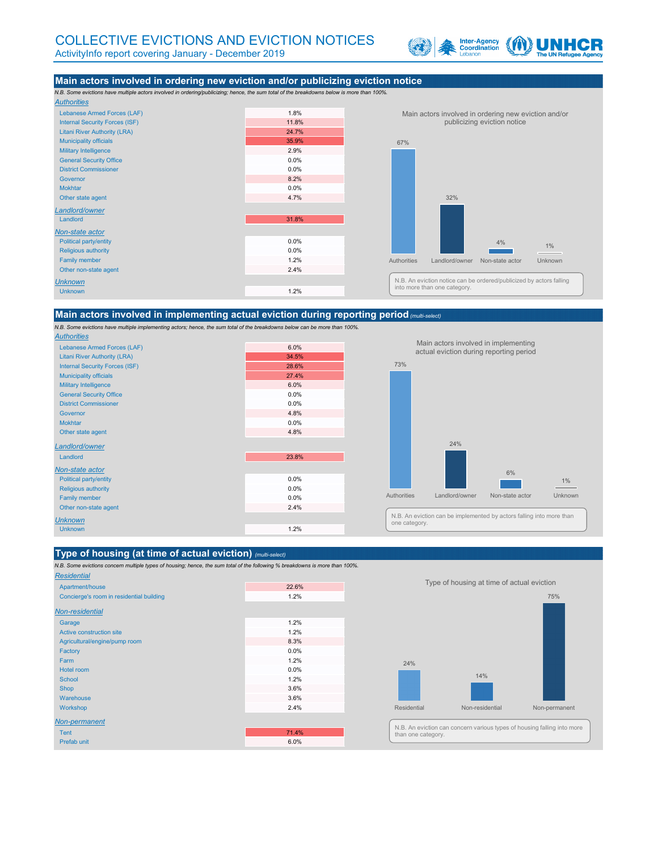# COLLECTIVE EVICTIONS AND EVICTION NOTICES

ActivityInfo report covering January - December 2019



*N.B. Some evictions have multiple actors involved in ordering/publicizing; hence, the sum total of the breakdowns below is more than 100%. Authorities*

| Lebanese Armed Forces (LAF)           | 1.8%  |
|---------------------------------------|-------|
| <b>Internal Security Forces (ISF)</b> | 11.8% |
| <b>Litani River Authority (LRA)</b>   | 24.7% |
| <b>Municipality officials</b>         | 35.9% |
| <b>Military Intelligence</b>          | 2.9%  |
| <b>General Security Office</b>        | 0.0%  |
| <b>District Commissioner</b>          | 0.0%  |
| Governor                              | 8.2%  |
| <b>Mokhtar</b>                        | 0.0%  |
| Other state agent                     | 4.7%  |
| Landlord/owner                        |       |
| Landlord                              | 31.8% |
| Non-state actor                       |       |
| <b>Political party/entity</b>         | 0.0%  |
| Religious authority                   | 0.0%  |
| <b>Family member</b>                  | 1.2%  |
| Other non-state agent                 | 2.4%  |
| <b>Unknown</b>                        |       |
| <b>Unknown</b>                        | 1.2%  |
|                                       |       |

*N.B. Some evictions have multiple implementing actors; hence, the sum total of the breakdowns below can be more than 100%. Authorities*

| , ,,,,,,,,,,,,                        |       |
|---------------------------------------|-------|
| Lebanese Armed Forces (LAF)           | 6.0%  |
| <b>Litani River Authority (LRA)</b>   | 34.5% |
| <b>Internal Security Forces (ISF)</b> | 28.6% |
| <b>Municipality officials</b>         | 27.4% |
| <b>Military Intelligence</b>          | 6.0%  |
| <b>General Security Office</b>        | 0.0%  |
| <b>District Commissioner</b>          | 0.0%  |
| Governor                              | 4.8%  |
| <b>Mokhtar</b>                        | 0.0%  |
| Other state agent                     | 4.8%  |
| Landlord/owner                        |       |
| Landlord                              | 23.8% |
| Non-state actor                       |       |
| <b>Political party/entity</b>         | 0.0%  |
| <b>Religious authority</b>            | 0.0%  |
| <b>Family member</b>                  | 0.0%  |
| Other non-state agent                 | 2.4%  |
| <b>Unknown</b>                        |       |
| <b>Unknown</b>                        | 1.2%  |

#### **Type of housing (at time of actual eviction)** *(multi-select)*

*N.B. Some evictions concern multiple types of housing; hence, the sum total of the following % breakdowns is more than 100%.*

#### *Residential*

| Apartment/house                          | 22.6% |
|------------------------------------------|-------|
| Concierge's room in residential building | 1.2%  |
| <b>Non-residential</b>                   |       |
| Garage                                   | 1.2%  |
| Active construction site                 | 1.2%  |
| Agricultural/engine/pump room            | 8.3%  |
| Factory                                  | 0.0%  |
| Farm                                     | 1.2%  |
| Hotel room                               | 0.0%  |
| <b>School</b>                            | 1.2%  |
| <b>Shop</b>                              | 3.6%  |
| Warehouse                                | 3.6%  |
| Workshop                                 | 2.4%  |
| Non-permanent                            |       |
| <b>Tent</b>                              | 71.4% |
| Prefab unit                              | 6.0%  |

### **Main actors involved in ordering new eviction and/or publicizing eviction notice**

#### **Main actors involved in implementing actual eviction during reporting period***(multi-select)*



Main actors involved in ordering new eviction and/or publicizing eviction notice

73%



#### Main actors involved in implementing actual eviction during reporting period

Type of housing at time of actual eviction

N.B. An eviction notice can be ordered/publicized by actors falling into more than one category.



N.B. An eviction can be implemented by actors falling into more than one category.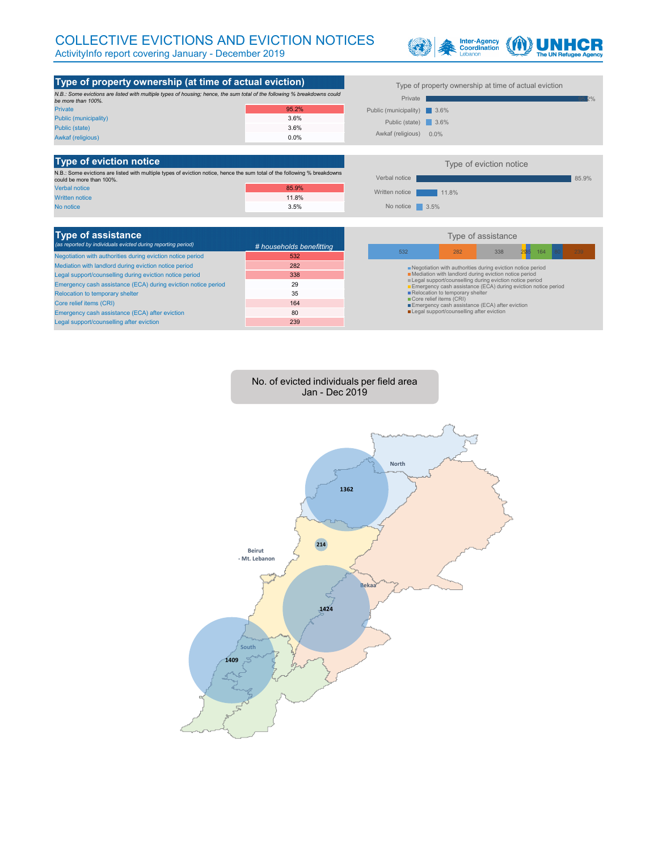# COLLECTIVE EVICTIONS AND EVICTION NOTICES

ActivityInfo report covering January - December 2019





No. of evicted individuals per field area Jan - Dec 2019

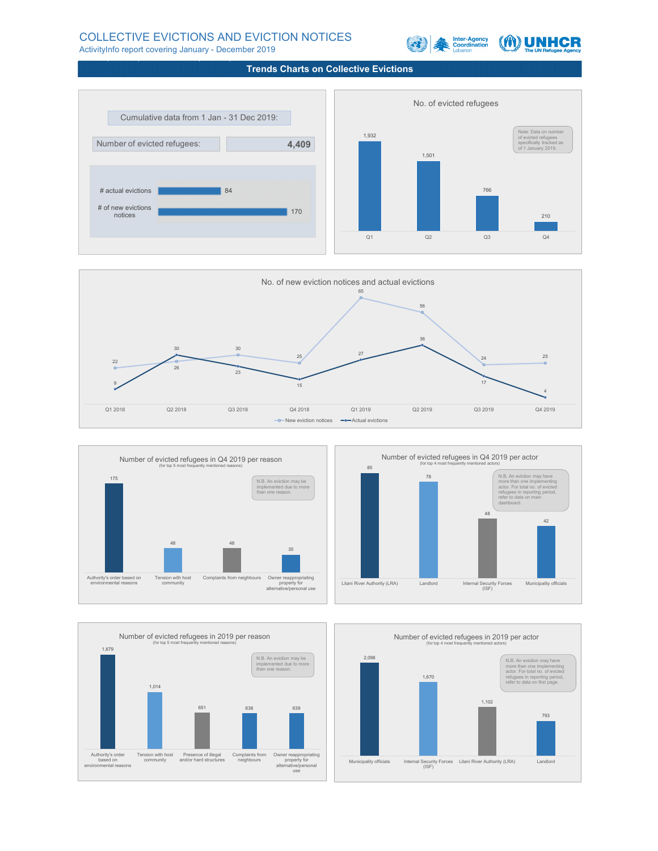### **Trends Charts on Collective Evictions**

## COLLECTIVE EVICTIONS AND EVICTION NOTICES

ActivityInfo report covering January - December 2019



Number of evicted refugees in Q4 2019 per actor







Number of evicted refugees in Q4 2019 per reason